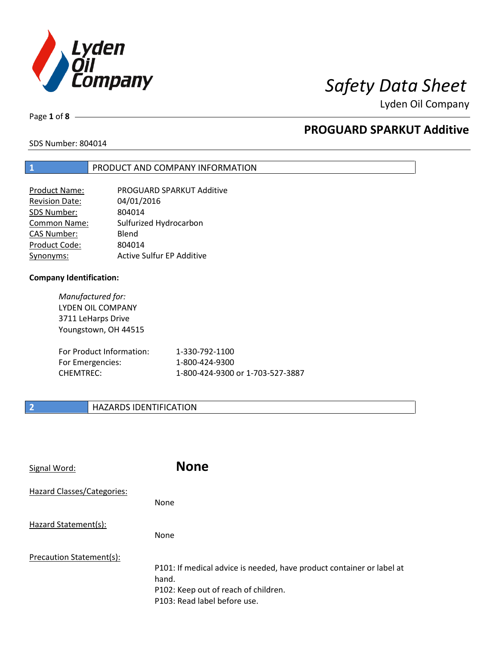

Page **1** of **8**

## **PROGUARD SPARKUT Additive**

SDS Number: 804014

### **1** PRODUCT AND COMPANY INFORMATION

| <b>Product Name:</b>  | PROGUARD SPARKUT Additive        |
|-----------------------|----------------------------------|
| <b>Revision Date:</b> | 04/01/2016                       |
| SDS Number:           | 804014                           |
| <b>Common Name:</b>   | Sulfurized Hydrocarbon           |
| <b>CAS Number:</b>    | Blend                            |
| Product Code:         | 804014                           |
| Synonyms:             | <b>Active Sulfur EP Additive</b> |

### **Company Identification:**

*Manufactured for:* LYDEN OIL COMPANY 3711 LeHarps Drive Youngstown, OH 44515

| For Product Information: | 1-330-792-1100                   |
|--------------------------|----------------------------------|
| For Emergencies:         | 1-800-424-9300                   |
| CHEMTREC:                | 1-800-424-9300 or 1-703-527-3887 |

### **2 HAZARDS IDENTIFICATION**

| Signal Word:               | <b>None</b>                                                                                                                                            |
|----------------------------|--------------------------------------------------------------------------------------------------------------------------------------------------------|
| Hazard Classes/Categories: | <b>None</b>                                                                                                                                            |
| Hazard Statement(s):       | <b>None</b>                                                                                                                                            |
| Precaution Statement(s):   | P101: If medical advice is needed, have product container or label at<br>hand.<br>P102: Keep out of reach of children.<br>P103: Read label before use. |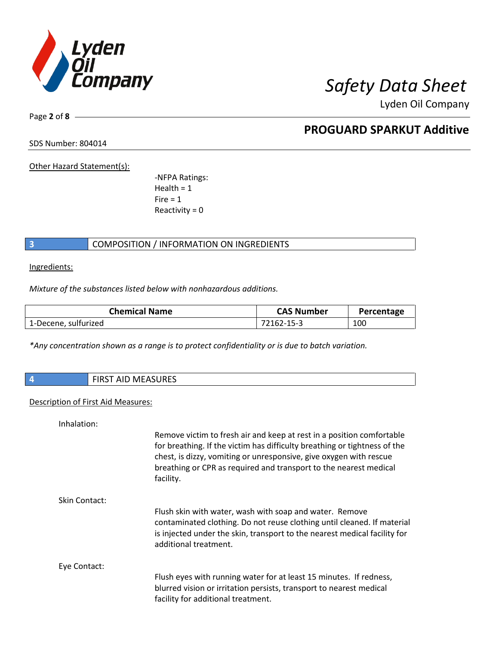

Page **2** of **8**

## **PROGUARD SPARKUT Additive**

SDS Number: 804014

Other Hazard Statement(s):

-NFPA Ratings:  $Health = 1$  $Fire = 1$ Reactivity  $= 0$ 

### **3** COMPOSITION / INFORMATION ON INGREDIENTS

Ingredients:

*Mixture of the substances listed below with nonhazardous additions.*

| <b>Chemical Name</b> | <b>CAS Number</b> | Percentage |
|----------------------|-------------------|------------|
| 1-Decene, sulfurized | 72162-15-3        | 100        |

*\*Any concentration shown as a range is to protect confidentiality or is due to batch variation.*

| Ų. | $\sim$<br>AID IVIEAJUNEJ<br>. |
|----|-------------------------------|
|    |                               |

### Description of First Aid Measures:

| Inhalation:   |                                                                                                                                                                                                                                                                                                            |
|---------------|------------------------------------------------------------------------------------------------------------------------------------------------------------------------------------------------------------------------------------------------------------------------------------------------------------|
|               | Remove victim to fresh air and keep at rest in a position comfortable<br>for breathing. If the victim has difficulty breathing or tightness of the<br>chest, is dizzy, vomiting or unresponsive, give oxygen with rescue<br>breathing or CPR as required and transport to the nearest medical<br>facility. |
| Skin Contact: |                                                                                                                                                                                                                                                                                                            |
|               | Flush skin with water, wash with soap and water. Remove<br>contaminated clothing. Do not reuse clothing until cleaned. If material<br>is injected under the skin, transport to the nearest medical facility for<br>additional treatment.                                                                   |
| Eye Contact:  |                                                                                                                                                                                                                                                                                                            |
|               | Flush eyes with running water for at least 15 minutes. If redness,<br>blurred vision or irritation persists, transport to nearest medical<br>facility for additional treatment.                                                                                                                            |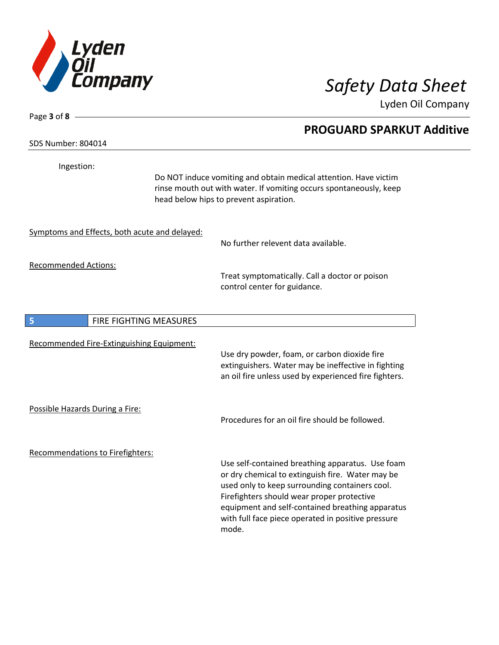

**PROGUARD SPARKUT Additive**

Lyden Oil Company

SDS Number: 804014

Page **3** of **8**

Ingestion:

Do NOT induce vomiting and obtain medical attention. Have victim rinse mouth out with water. If vomiting occurs spontaneously, keep head below hips to prevent aspiration.

Symptoms and Effects, both acute and delayed:

No further relevent data available.

Recommended Actions:

Treat symptomatically. Call a doctor or poison control center for guidance.

| 5                               | <b>FIRE FIGHTING MEASURES</b>                    |                                                                                                                                                                                                                                                                                                                |
|---------------------------------|--------------------------------------------------|----------------------------------------------------------------------------------------------------------------------------------------------------------------------------------------------------------------------------------------------------------------------------------------------------------------|
|                                 | <b>Recommended Fire-Extinguishing Equipment:</b> | Use dry powder, foam, or carbon dioxide fire<br>extinguishers. Water may be ineffective in fighting<br>an oil fire unless used by experienced fire fighters.                                                                                                                                                   |
| Possible Hazards During a Fire: |                                                  | Procedures for an oil fire should be followed.                                                                                                                                                                                                                                                                 |
|                                 | Recommendations to Firefighters:                 | Use self-contained breathing apparatus. Use foam<br>or dry chemical to extinguish fire. Water may be<br>used only to keep surrounding containers cool.<br>Firefighters should wear proper protective<br>equipment and self-contained breathing apparatus<br>with full face piece operated in positive pressure |

mode.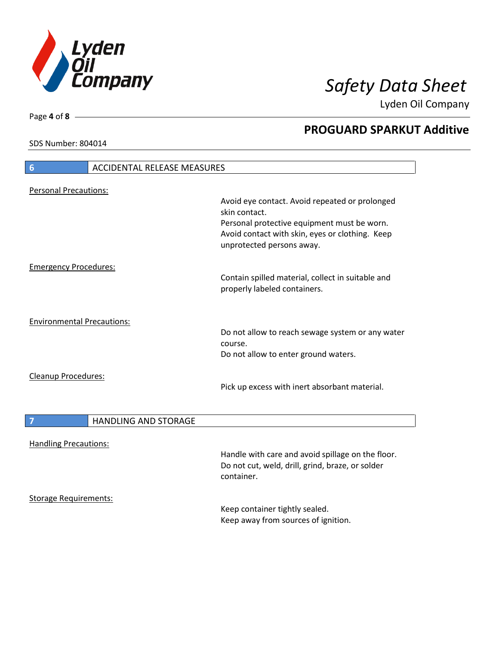

**PROGUARD SPARKUT Additive**

Lyden Oil Company

SDS Number: 804014

# **6** ACCIDENTAL RELEASE MEASURES Personal Precautions: Avoid eye contact. Avoid repeated or prolonged skin contact. Personal protective equipment must be worn. Avoid contact with skin, eyes or clothing. Keep unprotected persons away. Emergency Procedures: Contain spilled material, collect in suitable and properly labeled containers. Environmental Precautions: Do not allow to reach sewage system or any water course. Do not allow to enter ground waters. Cleanup Procedures: Pick up excess with inert absorbant material. **7 HANDLING AND STORAGE** Handling Precautions: Handle with care and avoid spillage on the floor. Do not cut, weld, drill, grind, braze, or solder container. Storage Requirements:

Keep container tightly sealed. Keep away from sources of ignition.

Page **4** of **8**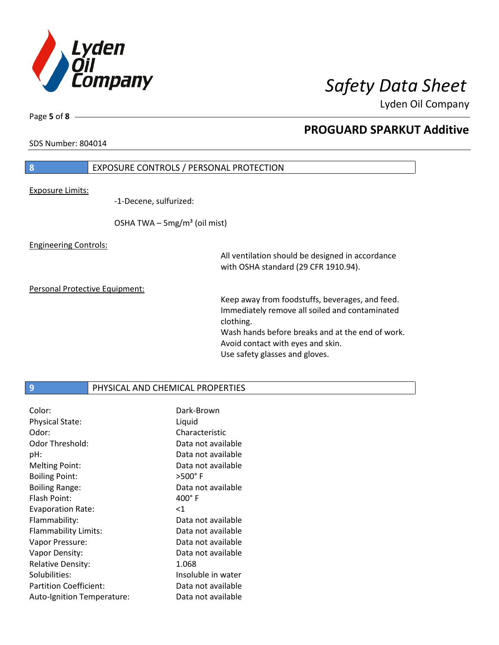

SDS Number: 804014

Page **5** of **8**

## **PROGUARD SPARKUT Additive**

# **8** EXPOSURE CONTROLS / PERSONAL PROTECTION Exposure Limits: -1-Decene, sulfurized: OSHA TWA  $-$  5mg/m<sup>3</sup> (oil mist) Engineering Controls: All ventilation should be designed in accordance with OSHA standard (29 CFR 1910.94).

Personal Protective Equipment:

Keep away from foodstuffs, beverages, and feed. Immediately remove all soiled and contaminated clothing. Wash hands before breaks and at the end of work. Avoid contact with eyes and skin. Use safety glasses and gloves.

### **9** PHYSICAL AND CHEMICAL PROPERTIES

| Color:                        | Dark-Brown         |
|-------------------------------|--------------------|
| <b>Physical State:</b>        | Liquid             |
| Odor:                         | Characteristic     |
| Odor Threshold:               | Data not available |
| pH:                           | Data not available |
| <b>Melting Point:</b>         | Data not available |
| <b>Boiling Point:</b>         | $>500^\circ$ F     |
| <b>Boiling Range:</b>         | Data not available |
| Flash Point:                  | $400^{\circ}$ F    |
|                               |                    |
| <b>Evaporation Rate:</b>      | <1                 |
| Flammability:                 | Data not available |
| Flammability Limits:          | Data not available |
| Vapor Pressure:               | Data not available |
| Vapor Density:                | Data not available |
| <b>Relative Density:</b>      | 1.068              |
| Solubilities:                 | Insoluble in water |
| <b>Partition Coefficient:</b> | Data not available |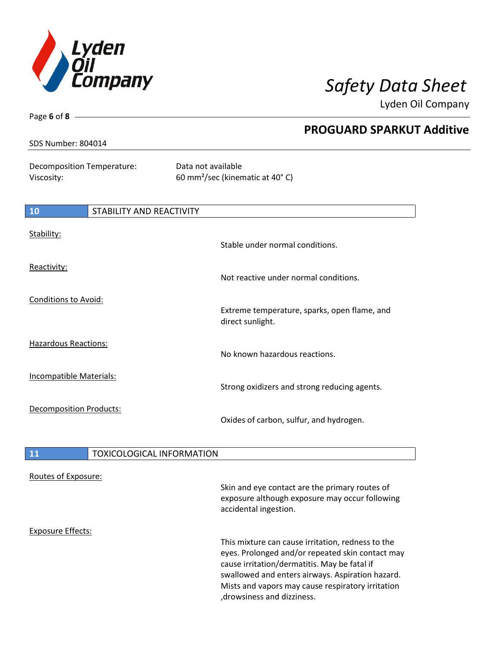

Page **6** of **8**

Lyden Oil Company

| SDS Number: 804014                       |                                  | <b>PROGUARD SPARKUT Additive</b>                                  |
|------------------------------------------|----------------------------------|-------------------------------------------------------------------|
|                                          |                                  |                                                                   |
| Decomposition Temperature:<br>Viscosity: |                                  | Data not available<br>60 mm <sup>2</sup> /sec (kinematic at 40°C) |
|                                          |                                  |                                                                   |
| 10                                       | STABILITY AND REACTIVITY         |                                                                   |
| Stability:                               |                                  | Stable under normal conditions.                                   |
|                                          |                                  |                                                                   |
| Reactivity:                              |                                  | Not reactive under normal conditions.                             |
| <b>Conditions to Avoid:</b>              |                                  | Extreme temperature, sparks, open flame, and<br>direct sunlight.  |
| <b>Hazardous Reactions:</b>              |                                  |                                                                   |
|                                          |                                  | No known hazardous reactions.                                     |
| <b>Incompatible Materials:</b>           |                                  | Strong oxidizers and strong reducing agents.                      |
| <b>Decomposition Products:</b>           |                                  | Oxides of carbon, sulfur, and hydrogen.                           |
| 11                                       | <b>TOXICOLOGICAL INFORMATION</b> |                                                                   |
| Routes of Exposure:                      |                                  | Skin and eye contact are the primary routes of                    |

Exposure Effects:

This mixture can cause irritation, redness to the eyes. Prolonged and/or repeated skin contact may cause irritation/dermatitis. May be fatal if swallowed and enters airways. Aspiration hazard. Mists and vapors may cause respiratory irritation ,drowsiness and dizziness.

exposure although exposure may occur following

accidental ingestion.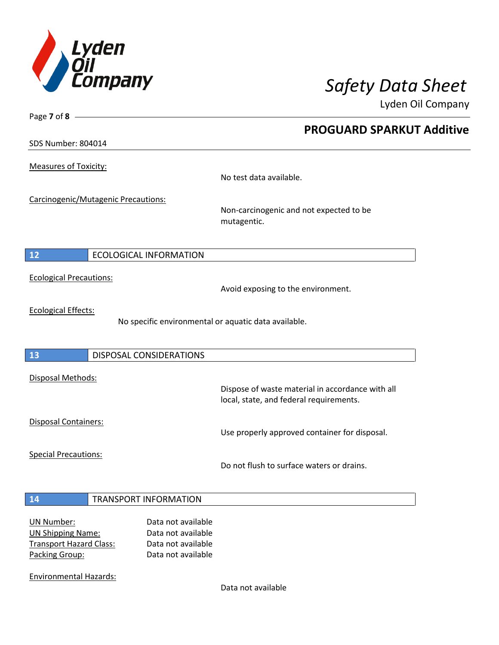

**PROGUARD SPARKUT Additive**

Lyden Oil Company

SDS Number: 804014

Page **7** of **8**

Measures of Toxicity:

No test data available.

Carcinogenic/Mutagenic Precautions:

Non-carcinogenic and not expected to be mutagentic.

### **12** ECOLOGICAL INFORMATION

Ecological Precautions:

Avoid exposing to the environment.

Ecological Effects:

No specific environmental or aquatic data available.

### **13** DISPOSAL CONSIDERATIONS

Disposal Methods:

Disposal Containers:

Use properly approved container for disposal.

Dispose of waste material in accordance with all

Special Precautions:

Do not flush to surface waters or drains.

local, state, and federal requirements.

### **14** TRANSPORT INFORMATION

| UN Number:                     | Data not available |
|--------------------------------|--------------------|
| <b>UN Shipping Name:</b>       | Data not available |
| <b>Transport Hazard Class:</b> | Data not available |
| Packing Group:                 | Data not available |

Environmental Hazards:

Data not available